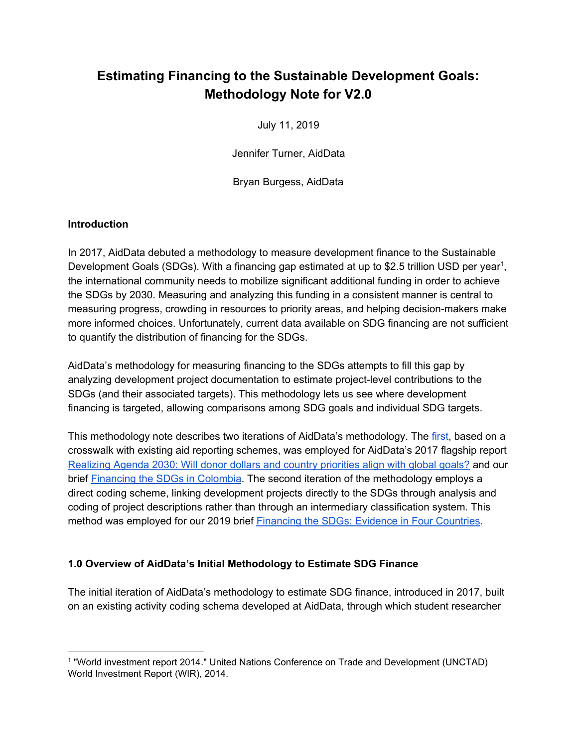# **Estimating Financing to the Sustainable Development Goals: Methodology Note for V2.0**

July 11, 2019

Jennifer Turner, AidData

Bryan Burgess, AidData

#### **Introduction**

In 2017, AidData debuted a methodology to measure development finance to the Sustainable Development Goals (SDGs). With a financing gap estimated at up to \$2.5 trillion USD per year<sup>1</sup>, the international community needs to mobilize significant additional funding in order to achieve the SDGs by 2030. Measuring and analyzing this funding in a consistent manner is central to measuring progress, crowding in resources to priority areas, and helping decision-makers make more informed choices. Unfortunately, current data available on SDG financing are not sufficient to quantify the distribution of financing for the SDGs.

AidData's methodology for measuring financing to the SDGs attempts to fill this gap by analyzing development project documentation to estimate project-level contributions to the SDGs (and their associated targets). This methodology lets us see where development financing is targeted, allowing comparisons among SDG goals and individual SDG targets.

This methodology note describes two iterations of AidData's methodology. The first, based on a crosswalk with existing aid reporting schemes, was employed for AidData's 2017 flagship report Realizing Agenda 2030: Will donor dollars and country priorities align with global goals? and our brief Financing the SDGs in Colombia. The second iteration of the methodology employs a direct coding scheme, linking development projects directly to the SDGs through analysis and coding of project descriptions rather than through an intermediary classification system. This method was employed for our 2019 brief Financing the SDGs: Evidence in Four Countries.

#### **1.0 Overview of AidData's Initial Methodology to Estimate SDG Finance**

The initial iteration of AidData's methodology to estimate SDG finance, introduced in 2017, built on an existing activity coding schema developed at AidData, through which student researcher

<sup>1</sup> "World investment report 2014." United Nations Conference on Trade and Development (UNCTAD) World Investment Report (WIR), 2014.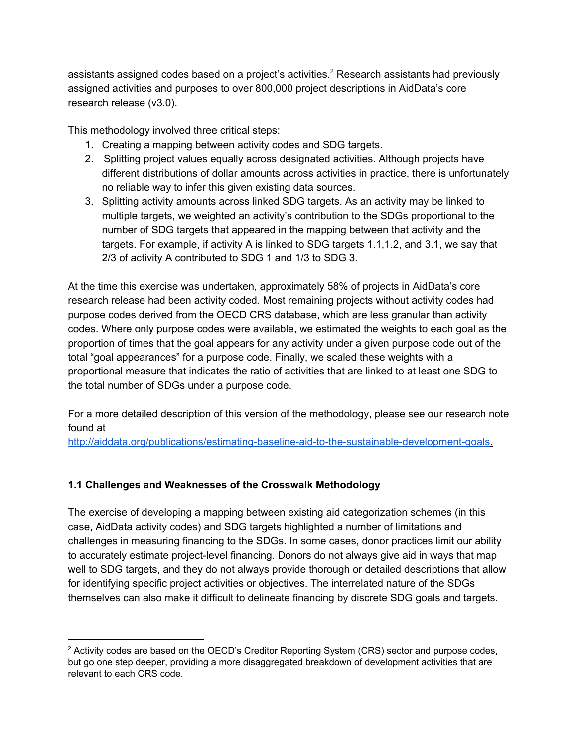assistants assigned codes based on a project's activities.<sup>2</sup> Research assistants had previously assigned activities and purposes to over 800,000 project descriptions in AidData's core research release (v3.0).

This methodology involved three critical steps:

- 1. Creating a mapping between activity codes and SDG targets.
- 2. Splitting project values equally across designated activities. Although projects have different distributions of dollar amounts across activities in practice, there is unfortunately no reliable way to infer this given existing data sources.
- 3. Splitting activity amounts across linked SDG targets. As an activity may be linked to multiple targets, we weighted an activity's contribution to the SDGs proportional to the number of SDG targets that appeared in the mapping between that activity and the targets. For example, if activity A is linked to SDG targets 1.1,1.2, and 3.1, we say that 2/3 of activity A contributed to SDG 1 and 1/3 to SDG 3.

At the time this exercise was undertaken, approximately 58% of projects in AidData's core research release had been activity coded. Most remaining projects without activity codes had purpose codes derived from the OECD CRS database, which are less granular than activity codes. Where only purpose codes were available, we estimated the weights to each goal as the proportion of times that the goal appears for any activity under a given purpose code out of the total "goal appearances" for a purpose code. Finally, we scaled these weights with a proportional measure that indicates the ratio of activities that are linked to at least one SDG to the total number of SDGs under a purpose code.

For a more detailed description of this version of the methodology, please see our research note found at

http://aiddata.org/publications/estimating-baseline-aid-to-the-sustainable-development-goals.

# **1.1 Challenges and Weaknesses of the Crosswalk Methodology**

The exercise of developing a mapping between existing aid categorization schemes (in this case, AidData activity codes) and SDG targets highlighted a number of limitations and challenges in measuring financing to the SDGs. In some cases, donor practices limit our ability to accurately estimate project-level financing. Donors do not always give aid in ways that map well to SDG targets, and they do not always provide thorough or detailed descriptions that allow for identifying specific project activities or objectives. The interrelated nature of the SDGs themselves can also make it difficult to delineate financing by discrete SDG goals and targets.

<sup>&</sup>lt;sup>2</sup> Activity codes are based on the OECD's Creditor Reporting System (CRS) sector and purpose codes, but go one step deeper, providing a more disaggregated breakdown of development activities that are relevant to each CRS code.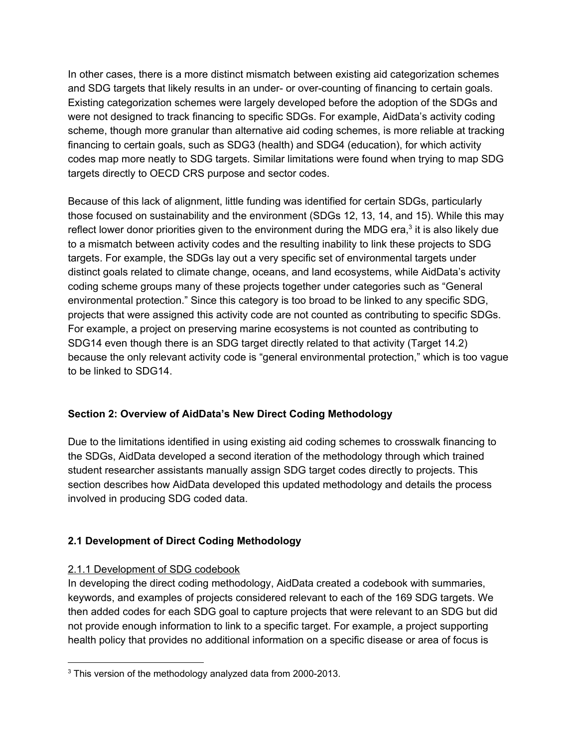In other cases, there is a more distinct mismatch between existing aid categorization schemes and SDG targets that likely results in an under- or over-counting of financing to certain goals. Existing categorization schemes were largely developed before the adoption of the SDGs and were not designed to track financing to specific SDGs. For example, AidData's activity coding scheme, though more granular than alternative aid coding schemes, is more reliable at tracking financing to certain goals, such as SDG3 (health) and SDG4 (education), for which activity codes map more neatly to SDG targets. Similar limitations were found when trying to map SDG targets directly to OECD CRS purpose and sector codes.

Because of this lack of alignment, little funding was identified for certain SDGs, particularly those focused on sustainability and the environment (SDGs 12, 13, 14, and 15). While this may reflect lower donor priorities given to the environment during the MDG era, $3$  it is also likely due to a mismatch between activity codes and the resulting inability to link these projects to SDG targets. For example, the SDGs lay out a very specific set of environmental targets under distinct goals related to climate change, oceans, and land ecosystems, while AidData's activity coding scheme groups many of these projects together under categories such as "General environmental protection." Since this category is too broad to be linked to any specific SDG, projects that were assigned this activity code are not counted as contributing to specific SDGs. For example, a project on preserving marine ecosystems is not counted as contributing to SDG14 even though there is an SDG target directly related to that activity (Target 14.2) because the only relevant activity code is "general environmental protection," which is too vague to be linked to SDG14.

# **Section 2: Overview of AidData's New Direct Coding Methodology**

Due to the limitations identified in using existing aid coding schemes to crosswalk financing to the SDGs, AidData developed a second iteration of the methodology through which trained student researcher assistants manually assign SDG target codes directly to projects. This section describes how AidData developed this updated methodology and details the process involved in producing SDG coded data.

# **2.1 Development of Direct Coding Methodology**

# 2.1.1 Development of SDG codebook

In developing the direct coding methodology, AidData created a codebook with summaries, keywords, and examples of projects considered relevant to each of the 169 SDG targets. We then added codes for each SDG goal to capture projects that were relevant to an SDG but did not provide enough information to link to a specific target. For example, a project supporting health policy that provides no additional information on a specific disease or area of focus is

<sup>&</sup>lt;sup>3</sup> This version of the methodology analyzed data from 2000-2013.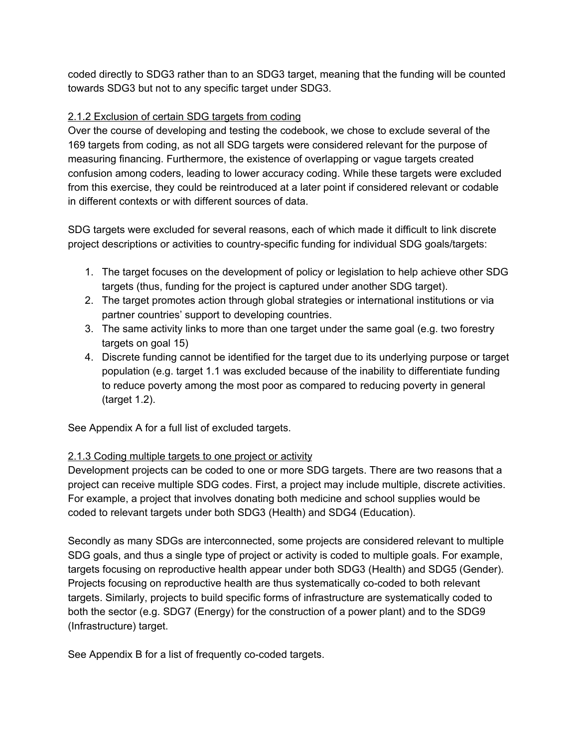coded directly to SDG3 rather than to an SDG3 target, meaning that the funding will be counted towards SDG3 but not to any specific target under SDG3.

## 2.1.2 Exclusion of certain SDG targets from coding

Over the course of developing and testing the codebook, we chose to exclude several of the 169 targets from coding, as not all SDG targets were considered relevant for the purpose of measuring financing. Furthermore, the existence of overlapping or vague targets created confusion among coders, leading to lower accuracy coding. While these targets were excluded from this exercise, they could be reintroduced at a later point if considered relevant or codable in different contexts or with different sources of data.

SDG targets were excluded for several reasons, each of which made it difficult to link discrete project descriptions or activities to country-specific funding for individual SDG goals/targets:

- 1. The target focuses on the development of policy or legislation to help achieve other SDG targets (thus, funding for the project is captured under another SDG target).
- 2. The target promotes action through global strategies or international institutions or via partner countries' support to developing countries.
- 3. The same activity links to more than one target under the same goal (e.g. two forestry targets on goal 15)
- 4. Discrete funding cannot be identified for the target due to its underlying purpose or target population (e.g. target 1.1 was excluded because of the inability to differentiate funding to reduce poverty among the most poor as compared to reducing poverty in general (target 1.2).

See Appendix A for a full list of excluded targets.

# 2.1.3 Coding multiple targets to one project or activity

Development projects can be coded to one or more SDG targets. There are two reasons that a project can receive multiple SDG codes. First, a project may include multiple, discrete activities. For example, a project that involves donating both medicine and school supplies would be coded to relevant targets under both SDG3 (Health) and SDG4 (Education).

Secondly as many SDGs are interconnected, some projects are considered relevant to multiple SDG goals, and thus a single type of project or activity is coded to multiple goals. For example, targets focusing on reproductive health appear under both SDG3 (Health) and SDG5 (Gender). Projects focusing on reproductive health are thus systematically co-coded to both relevant targets. Similarly, projects to build specific forms of infrastructure are systematically coded to both the sector (e.g. SDG7 (Energy) for the construction of a power plant) and to the SDG9 (Infrastructure) target.

See Appendix B for a list of frequently co-coded targets.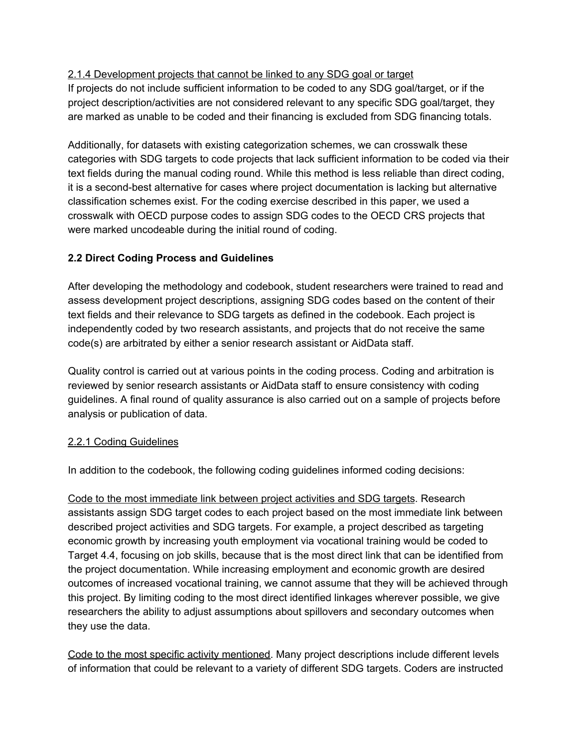## 2.1.4 Development projects that cannot be linked to any SDG goal or target

If projects do not include sufficient information to be coded to any SDG goal/target, or if the project description/activities are not considered relevant to any specific SDG goal/target, they are marked as unable to be coded and their financing is excluded from SDG financing totals.

Additionally, for datasets with existing categorization schemes, we can crosswalk these categories with SDG targets to code projects that lack sufficient information to be coded via their text fields during the manual coding round. While this method is less reliable than direct coding, it is a second-best alternative for cases where project documentation is lacking but alternative classification schemes exist. For the coding exercise described in this paper, we used a crosswalk with OECD purpose codes to assign SDG codes to the OECD CRS projects that were marked uncodeable during the initial round of coding.

## **2.2 Direct Coding Process and Guidelines**

After developing the methodology and codebook, student researchers were trained to read and assess development project descriptions, assigning SDG codes based on the content of their text fields and their relevance to SDG targets as defined in the codebook. Each project is independently coded by two research assistants, and projects that do not receive the same code(s) are arbitrated by either a senior research assistant or AidData staff.

Quality control is carried out at various points in the coding process. Coding and arbitration is reviewed by senior research assistants or AidData staff to ensure consistency with coding guidelines. A final round of quality assurance is also carried out on a sample of projects before analysis or publication of data.

#### 2.2.1 Coding Guidelines

In addition to the codebook, the following coding guidelines informed coding decisions:

Code to the most immediate link between project activities and SDG targets. Research assistants assign SDG target codes to each project based on the most immediate link between described project activities and SDG targets. For example, a project described as targeting economic growth by increasing youth employment via vocational training would be coded to Target 4.4, focusing on job skills, because that is the most direct link that can be identified from the project documentation. While increasing employment and economic growth are desired outcomes of increased vocational training, we cannot assume that they will be achieved through this project. By limiting coding to the most direct identified linkages wherever possible, we give researchers the ability to adjust assumptions about spillovers and secondary outcomes when they use the data.

Code to the most specific activity mentioned. Many project descriptions include different levels of information that could be relevant to a variety of different SDG targets. Coders are instructed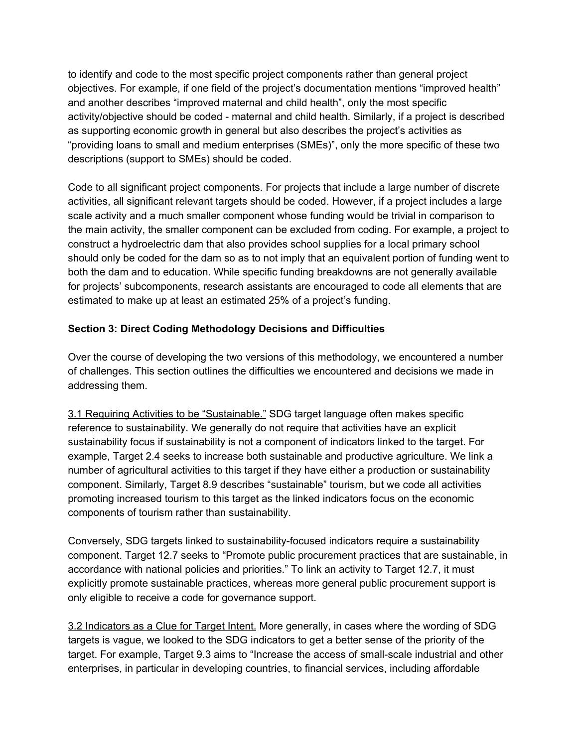to identify and code to the most specific project components rather than general project objectives. For example, if one field of the project's documentation mentions "improved health" and another describes "improved maternal and child health", only the most specific activity/objective should be coded - maternal and child health. Similarly, if a project is described as supporting economic growth in general but also describes the project's activities as "providing loans to small and medium enterprises (SMEs)", only the more specific of these two descriptions (support to SMEs) should be coded.

Code to all significant project components. For projects that include a large number of discrete activities, all significant relevant targets should be coded. However, if a project includes a large scale activity and a much smaller component whose funding would be trivial in comparison to the main activity, the smaller component can be excluded from coding. For example, a project to construct a hydroelectric dam that also provides school supplies for a local primary school should only be coded for the dam so as to not imply that an equivalent portion of funding went to both the dam and to education. While specific funding breakdowns are not generally available for projects' subcomponents, research assistants are encouraged to code all elements that are estimated to make up at least an estimated 25% of a project's funding.

## **Section 3: Direct Coding Methodology Decisions and Difficulties**

Over the course of developing the two versions of this methodology, we encountered a number of challenges. This section outlines the difficulties we encountered and decisions we made in addressing them.

3.1 Requiring Activities to be "Sustainable." SDG target language often makes specific reference to sustainability. We generally do not require that activities have an explicit sustainability focus if sustainability is not a component of indicators linked to the target. For example, Target 2.4 seeks to increase both sustainable and productive agriculture. We link a number of agricultural activities to this target if they have either a production or sustainability component. Similarly, Target 8.9 describes "sustainable" tourism, but we code all activities promoting increased tourism to this target as the linked indicators focus on the economic components of tourism rather than sustainability.

Conversely, SDG targets linked to sustainability-focused indicators require a sustainability component. Target 12.7 seeks to "Promote public procurement practices that are sustainable, in accordance with national policies and priorities." To link an activity to Target 12.7, it must explicitly promote sustainable practices, whereas more general public procurement support is only eligible to receive a code for governance support.

3.2 Indicators as a Clue for Target Intent. More generally, in cases where the wording of SDG targets is vague, we looked to the SDG indicators to get a better sense of the priority of the target. For example, Target 9.3 aims to "Increase the access of small-scale industrial and other enterprises, in particular in developing countries, to financial services, including affordable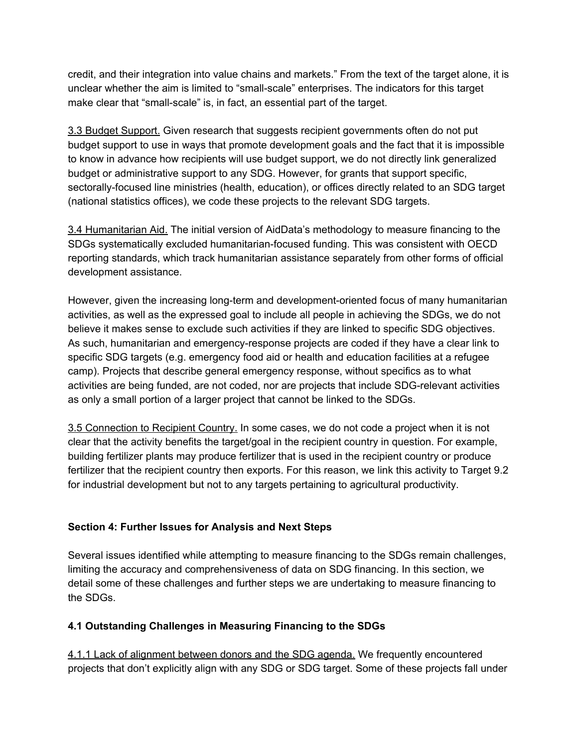credit, and their integration into value chains and markets." From the text of the target alone, it is unclear whether the aim is limited to "small-scale" enterprises. The indicators for this target make clear that "small-scale" is, in fact, an essential part of the target.

3.3 Budget Support. Given research that suggests recipient governments often do not put budget support to use in ways that promote development goals and the fact that it is impossible to know in advance how recipients will use budget support, we do not directly link generalized budget or administrative support to any SDG. However, for grants that support specific, sectorally-focused line ministries (health, education), or offices directly related to an SDG target (national statistics offices), we code these projects to the relevant SDG targets.

3.4 Humanitarian Aid. The initial version of AidData's methodology to measure financing to the SDGs systematically excluded humanitarian-focused funding. This was consistent with OECD reporting standards, which track humanitarian assistance separately from other forms of official development assistance.

However, given the increasing long-term and development-oriented focus of many humanitarian activities, as well as the expressed goal to include all people in achieving the SDGs, we do not believe it makes sense to exclude such activities if they are linked to specific SDG objectives. As such, humanitarian and emergency-response projects are coded if they have a clear link to specific SDG targets (e.g. emergency food aid or health and education facilities at a refugee camp). Projects that describe general emergency response, without specifics as to what activities are being funded, are not coded, nor are projects that include SDG-relevant activities as only a small portion of a larger project that cannot be linked to the SDGs.

3.5 Connection to Recipient Country. In some cases, we do not code a project when it is not clear that the activity benefits the target/goal in the recipient country in question. For example, building fertilizer plants may produce fertilizer that is used in the recipient country or produce fertilizer that the recipient country then exports. For this reason, we link this activity to Target 9.2 for industrial development but not to any targets pertaining to agricultural productivity.

#### **Section 4: Further Issues for Analysis and Next Steps**

Several issues identified while attempting to measure financing to the SDGs remain challenges, limiting the accuracy and comprehensiveness of data on SDG financing. In this section, we detail some of these challenges and further steps we are undertaking to measure financing to the SDGs.

#### **4.1 Outstanding Challenges in Measuring Financing to the SDGs**

4.1.1 Lack of alignment between donors and the SDG agenda. We frequently encountered projects that don't explicitly align with any SDG or SDG target. Some of these projects fall under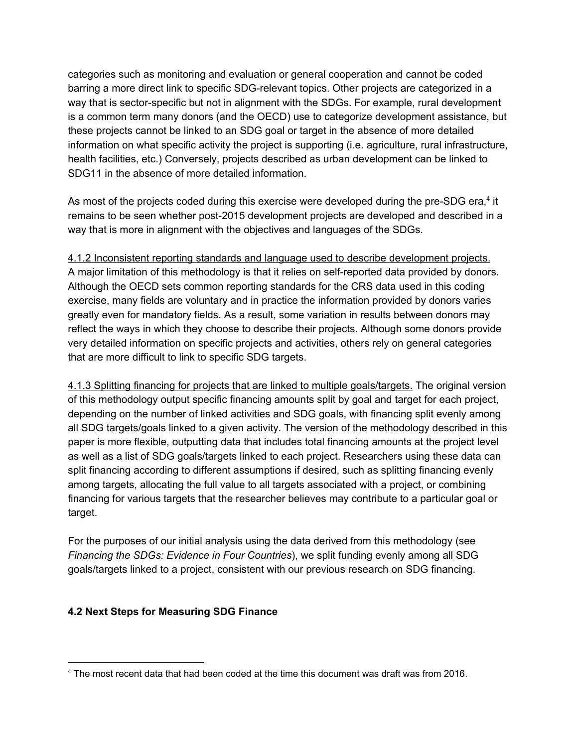categories such as monitoring and evaluation or general cooperation and cannot be coded barring a more direct link to specific SDG-relevant topics. Other projects are categorized in a way that is sector-specific but not in alignment with the SDGs. For example, rural development is a common term many donors (and the OECD) use to categorize development assistance, but these projects cannot be linked to an SDG goal or target in the absence of more detailed information on what specific activity the project is supporting (i.e. agriculture, rural infrastructure, health facilities, etc.) Conversely, projects described as urban development can be linked to SDG11 in the absence of more detailed information.

As most of the projects coded during this exercise were developed during the pre-SDG era, $4$  it remains to be seen whether post-2015 development projects are developed and described in a way that is more in alignment with the objectives and languages of the SDGs.

4.1.2 Inconsistent reporting standards and language used to describe development projects. A major limitation of this methodology is that it relies on self-reported data provided by donors. Although the OECD sets common reporting standards for the CRS data used in this coding exercise, many fields are voluntary and in practice the information provided by donors varies greatly even for mandatory fields. As a result, some variation in results between donors may reflect the ways in which they choose to describe their projects. Although some donors provide very detailed information on specific projects and activities, others rely on general categories that are more difficult to link to specific SDG targets.

4.1.3 Splitting financing for projects that are linked to multiple goals/targets. The original version of this methodology output specific financing amounts split by goal and target for each project, depending on the number of linked activities and SDG goals, with financing split evenly among all SDG targets/goals linked to a given activity. The version of the methodology described in this paper is more flexible, outputting data that includes total financing amounts at the project level as well as a list of SDG goals/targets linked to each project. Researchers using these data can split financing according to different assumptions if desired, such as splitting financing evenly among targets, allocating the full value to all targets associated with a project, or combining financing for various targets that the researcher believes may contribute to a particular goal or target.

For the purposes of our initial analysis using the data derived from this methodology (see *Financing the SDGs: Evidence in Four Countries*), we split funding evenly among all SDG goals/targets linked to a project, consistent with our previous research on SDG financing.

#### **4.2 Next Steps for Measuring SDG Finance**

<sup>4</sup> The most recent data that had been coded at the time this document was draft was from 2016.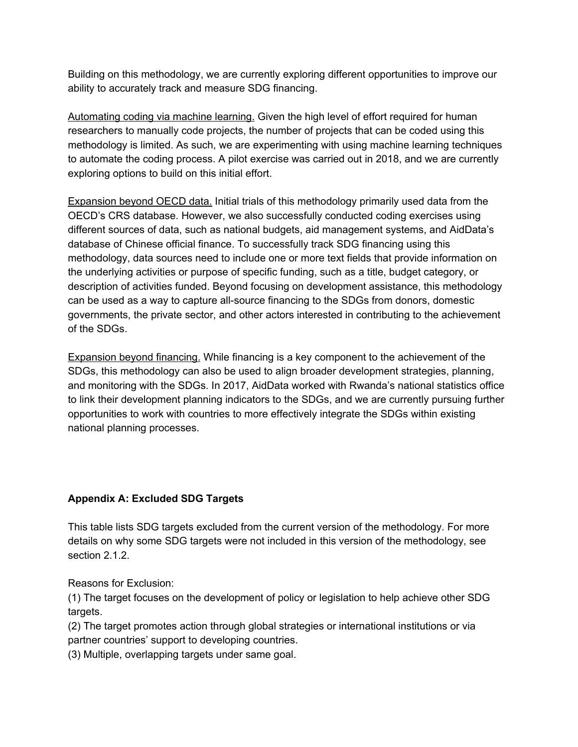Building on this methodology, we are currently exploring different opportunities to improve our ability to accurately track and measure SDG financing.

Automating coding via machine learning. Given the high level of effort required for human researchers to manually code projects, the number of projects that can be coded using this methodology is limited. As such, we are experimenting with using machine learning techniques to automate the coding process. A pilot exercise was carried out in 2018, and we are currently exploring options to build on this initial effort.

Expansion beyond OECD data. Initial trials of this methodology primarily used data from the OECD's CRS database. However, we also successfully conducted coding exercises using different sources of data, such as national budgets, aid management systems, and AidData's database of Chinese official finance. To successfully track SDG financing using this methodology, data sources need to include one or more text fields that provide information on the underlying activities or purpose of specific funding, such as a title, budget category, or description of activities funded. Beyond focusing on development assistance, this methodology can be used as a way to capture all-source financing to the SDGs from donors, domestic governments, the private sector, and other actors interested in contributing to the achievement of the SDGs.

Expansion beyond financing. While financing is a key component to the achievement of the SDGs, this methodology can also be used to align broader development strategies, planning, and monitoring with the SDGs. In 2017, AidData worked with Rwanda's national statistics office to link their development planning indicators to the SDGs, and we are currently pursuing further opportunities to work with countries to more effectively integrate the SDGs within existing national planning processes.

#### **Appendix A: Excluded SDG Targets**

This table lists SDG targets excluded from the current version of the methodology. For more details on why some SDG targets were not included in this version of the methodology, see section 2.1.2.

Reasons for Exclusion:

(1) The target focuses on the development of policy or legislation to help achieve other SDG targets.

(2) The target promotes action through global strategies or international institutions or via partner countries' support to developing countries.

(3) Multiple, overlapping targets under same goal.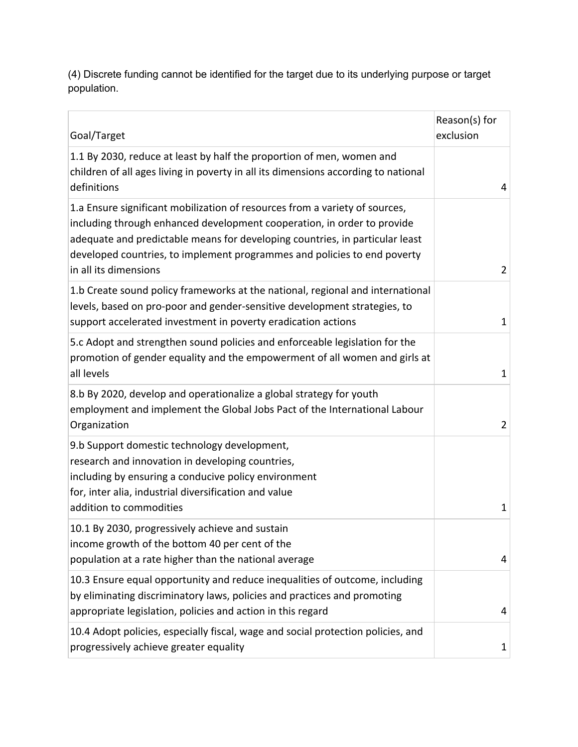(4) Discrete funding cannot be identified for the target due to its underlying purpose or target population.

| Goal/Target                                                                                                                                                                                                                                                                                                                                 | Reason(s) for<br>exclusion |
|---------------------------------------------------------------------------------------------------------------------------------------------------------------------------------------------------------------------------------------------------------------------------------------------------------------------------------------------|----------------------------|
| 1.1 By 2030, reduce at least by half the proportion of men, women and<br>children of all ages living in poverty in all its dimensions according to national<br>definitions                                                                                                                                                                  | 4                          |
| 1.a Ensure significant mobilization of resources from a variety of sources,<br>including through enhanced development cooperation, in order to provide<br>adequate and predictable means for developing countries, in particular least<br>developed countries, to implement programmes and policies to end poverty<br>in all its dimensions | $\overline{2}$             |
| 1.b Create sound policy frameworks at the national, regional and international<br>levels, based on pro-poor and gender-sensitive development strategies, to<br>support accelerated investment in poverty eradication actions                                                                                                                | $\mathbf{1}$               |
| 5.c Adopt and strengthen sound policies and enforceable legislation for the<br>promotion of gender equality and the empowerment of all women and girls at<br>all levels                                                                                                                                                                     | $\mathbf{1}$               |
| 8.b By 2020, develop and operationalize a global strategy for youth<br>employment and implement the Global Jobs Pact of the International Labour<br>Organization                                                                                                                                                                            | $\overline{2}$             |
| 9.b Support domestic technology development,<br>research and innovation in developing countries,<br>including by ensuring a conducive policy environment<br>for, inter alia, industrial diversification and value<br>addition to commodities                                                                                                | 1                          |
| 10.1 By 2030, progressively achieve and sustain<br>income growth of the bottom 40 per cent of the<br>population at a rate higher than the national average                                                                                                                                                                                  | 4                          |
| 10.3 Ensure equal opportunity and reduce inequalities of outcome, including<br>by eliminating discriminatory laws, policies and practices and promoting<br>appropriate legislation, policies and action in this regard                                                                                                                      | 4                          |
| 10.4 Adopt policies, especially fiscal, wage and social protection policies, and<br>progressively achieve greater equality                                                                                                                                                                                                                  | 1                          |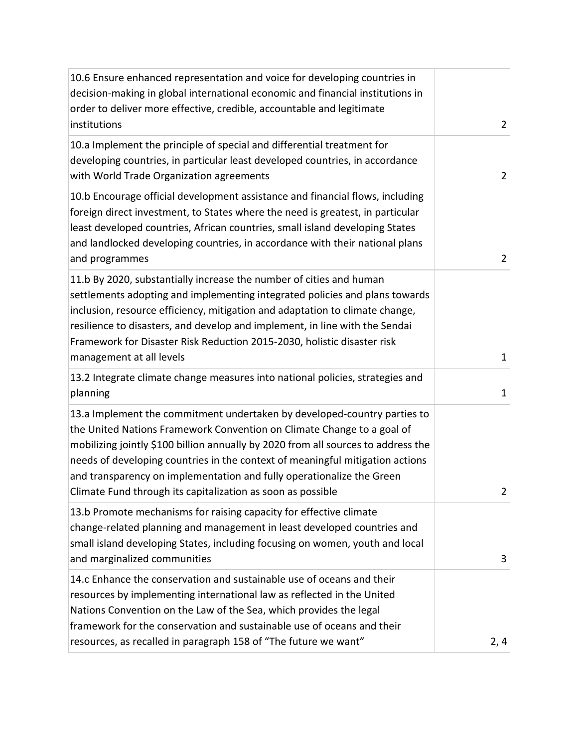| 10.6 Ensure enhanced representation and voice for developing countries in<br>decision-making in global international economic and financial institutions in<br>order to deliver more effective, credible, accountable and legitimate<br>institutions                                                                                                                                                                                                             | $\overline{2}$ |
|------------------------------------------------------------------------------------------------------------------------------------------------------------------------------------------------------------------------------------------------------------------------------------------------------------------------------------------------------------------------------------------------------------------------------------------------------------------|----------------|
| 10.a Implement the principle of special and differential treatment for<br>developing countries, in particular least developed countries, in accordance<br>with World Trade Organization agreements                                                                                                                                                                                                                                                               | $\overline{2}$ |
| 10.b Encourage official development assistance and financial flows, including<br>foreign direct investment, to States where the need is greatest, in particular<br>least developed countries, African countries, small island developing States<br>and landlocked developing countries, in accordance with their national plans<br>and programmes                                                                                                                | $\overline{2}$ |
| 11.b By 2020, substantially increase the number of cities and human<br>settlements adopting and implementing integrated policies and plans towards<br>inclusion, resource efficiency, mitigation and adaptation to climate change,<br>resilience to disasters, and develop and implement, in line with the Sendai<br>Framework for Disaster Risk Reduction 2015-2030, holistic disaster risk<br>management at all levels                                         | $\mathbf{1}$   |
| 13.2 Integrate climate change measures into national policies, strategies and<br>planning                                                                                                                                                                                                                                                                                                                                                                        | $\mathbf{1}$   |
| 13.a Implement the commitment undertaken by developed-country parties to<br>the United Nations Framework Convention on Climate Change to a goal of<br>mobilizing jointly \$100 billion annually by 2020 from all sources to address the<br>needs of developing countries in the context of meaningful mitigation actions<br>and transparency on implementation and fully operationalize the Green<br>Climate Fund through its capitalization as soon as possible | $\overline{2}$ |
| 13.b Promote mechanisms for raising capacity for effective climate<br>change-related planning and management in least developed countries and<br>small island developing States, including focusing on women, youth and local<br>and marginalized communities                                                                                                                                                                                                    | 3              |
| 14.c Enhance the conservation and sustainable use of oceans and their<br>resources by implementing international law as reflected in the United<br>Nations Convention on the Law of the Sea, which provides the legal<br>framework for the conservation and sustainable use of oceans and their<br>resources, as recalled in paragraph 158 of "The future we want"                                                                                               | 2, 4           |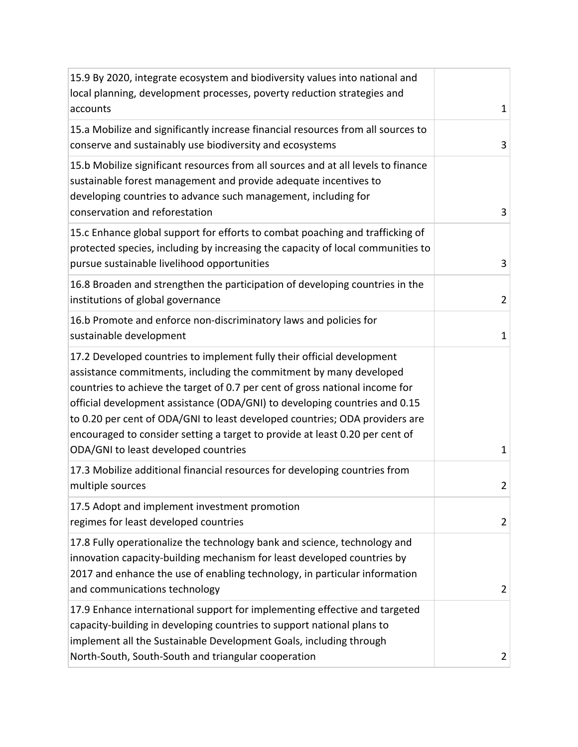| 15.9 By 2020, integrate ecosystem and biodiversity values into national and<br>local planning, development processes, poverty reduction strategies and                                                                                                                                                                                                                                                                                                                                                            |                |
|-------------------------------------------------------------------------------------------------------------------------------------------------------------------------------------------------------------------------------------------------------------------------------------------------------------------------------------------------------------------------------------------------------------------------------------------------------------------------------------------------------------------|----------------|
| accounts                                                                                                                                                                                                                                                                                                                                                                                                                                                                                                          | $\mathbf{1}$   |
| 15.a Mobilize and significantly increase financial resources from all sources to<br>conserve and sustainably use biodiversity and ecosystems                                                                                                                                                                                                                                                                                                                                                                      | 3              |
| 15.b Mobilize significant resources from all sources and at all levels to finance<br>sustainable forest management and provide adequate incentives to<br>developing countries to advance such management, including for<br>conservation and reforestation                                                                                                                                                                                                                                                         | 3              |
| 15.c Enhance global support for efforts to combat poaching and trafficking of<br>protected species, including by increasing the capacity of local communities to<br>pursue sustainable livelihood opportunities                                                                                                                                                                                                                                                                                                   | 3              |
| 16.8 Broaden and strengthen the participation of developing countries in the<br>institutions of global governance                                                                                                                                                                                                                                                                                                                                                                                                 | $\overline{2}$ |
| 16.b Promote and enforce non-discriminatory laws and policies for<br>sustainable development                                                                                                                                                                                                                                                                                                                                                                                                                      | $\mathbf{1}$   |
| 17.2 Developed countries to implement fully their official development<br>assistance commitments, including the commitment by many developed<br>countries to achieve the target of 0.7 per cent of gross national income for<br>official development assistance (ODA/GNI) to developing countries and 0.15<br>to 0.20 per cent of ODA/GNI to least developed countries; ODA providers are<br>encouraged to consider setting a target to provide at least 0.20 per cent of<br>ODA/GNI to least developed countries | 1              |
| 17.3 Mobilize additional financial resources for developing countries from<br>multiple sources                                                                                                                                                                                                                                                                                                                                                                                                                    | $\overline{2}$ |
| 17.5 Adopt and implement investment promotion<br>regimes for least developed countries                                                                                                                                                                                                                                                                                                                                                                                                                            | $\overline{2}$ |
| 17.8 Fully operationalize the technology bank and science, technology and<br>innovation capacity-building mechanism for least developed countries by<br>2017 and enhance the use of enabling technology, in particular information<br>and communications technology                                                                                                                                                                                                                                               | $\overline{2}$ |
| 17.9 Enhance international support for implementing effective and targeted<br>capacity-building in developing countries to support national plans to<br>implement all the Sustainable Development Goals, including through<br>North-South, South-South and triangular cooperation                                                                                                                                                                                                                                 | $\overline{2}$ |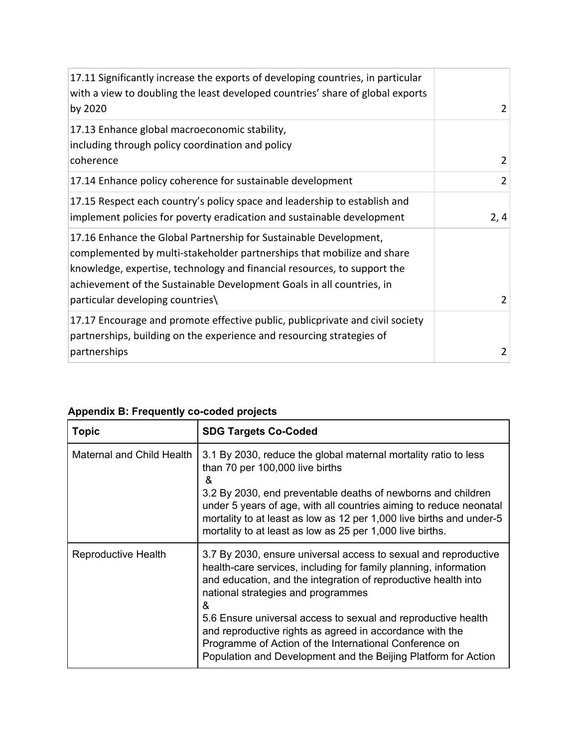| 17.11 Significantly increase the exports of developing countries, in particular<br>with a view to doubling the least developed countries' share of global exports<br>by 2020                                                                                                                                                        | 2              |
|-------------------------------------------------------------------------------------------------------------------------------------------------------------------------------------------------------------------------------------------------------------------------------------------------------------------------------------|----------------|
| 17.13 Enhance global macroeconomic stability,<br>including through policy coordination and policy<br>coherence                                                                                                                                                                                                                      | 2              |
| 17.14 Enhance policy coherence for sustainable development                                                                                                                                                                                                                                                                          | $\overline{2}$ |
| 17.15 Respect each country's policy space and leadership to establish and<br>implement policies for poverty eradication and sustainable development                                                                                                                                                                                 | 2, 4           |
| 17.16 Enhance the Global Partnership for Sustainable Development,<br>complemented by multi-stakeholder partnerships that mobilize and share<br>knowledge, expertise, technology and financial resources, to support the<br>achievement of the Sustainable Development Goals in all countries, in<br>particular developing countries | $\overline{2}$ |
| 17.17 Encourage and promote effective public, publicprivate and civil society<br>partnerships, building on the experience and resourcing strategies of<br>partnerships                                                                                                                                                              | $\overline{2}$ |

| <b>Topic</b>              | <b>SDG Targets Co-Coded</b>                                                                                                                                                                                                                                                                                                                                                                                                                                                                               |
|---------------------------|-----------------------------------------------------------------------------------------------------------------------------------------------------------------------------------------------------------------------------------------------------------------------------------------------------------------------------------------------------------------------------------------------------------------------------------------------------------------------------------------------------------|
| Maternal and Child Health | 3.1 By 2030, reduce the global maternal mortality ratio to less<br>than 70 per 100,000 live births<br>&<br>3.2 By 2030, end preventable deaths of newborns and children<br>under 5 years of age, with all countries aiming to reduce neonatal<br>mortality to at least as low as 12 per 1,000 live births and under-5<br>mortality to at least as low as 25 per 1,000 live births.                                                                                                                        |
| Reproductive Health       | 3.7 By 2030, ensure universal access to sexual and reproductive<br>health-care services, including for family planning, information<br>and education, and the integration of reproductive health into<br>national strategies and programmes<br>&<br>5.6 Ensure universal access to sexual and reproductive health<br>and reproductive rights as agreed in accordance with the<br>Programme of Action of the International Conference on<br>Population and Development and the Beijing Platform for Action |

# **Appendix B: Frequently co-coded projects**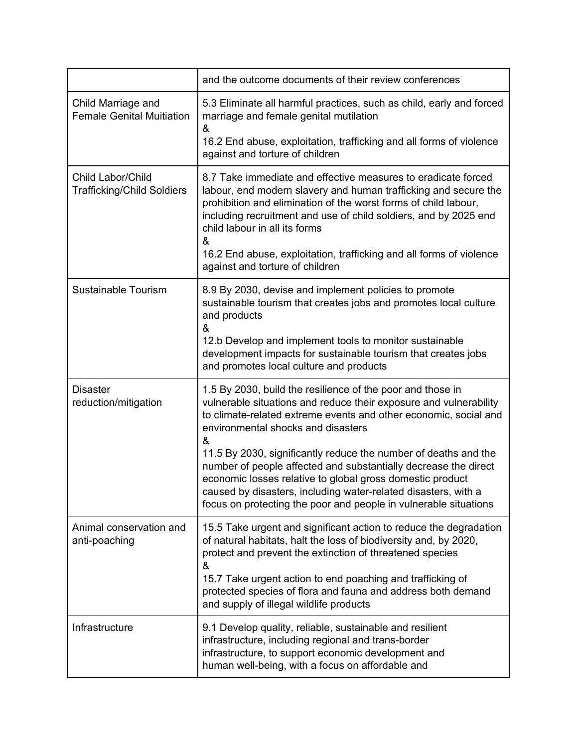|                                                        | and the outcome documents of their review conferences                                                                                                                                                                                                                                                                                                                                |
|--------------------------------------------------------|--------------------------------------------------------------------------------------------------------------------------------------------------------------------------------------------------------------------------------------------------------------------------------------------------------------------------------------------------------------------------------------|
| Child Marriage and<br><b>Female Genital Muitiation</b> | 5.3 Eliminate all harmful practices, such as child, early and forced<br>marriage and female genital mutilation<br>&                                                                                                                                                                                                                                                                  |
|                                                        | 16.2 End abuse, exploitation, trafficking and all forms of violence<br>against and torture of children                                                                                                                                                                                                                                                                               |
| Child Labor/Child<br><b>Trafficking/Child Soldiers</b> | 8.7 Take immediate and effective measures to eradicate forced<br>labour, end modern slavery and human trafficking and secure the<br>prohibition and elimination of the worst forms of child labour,<br>including recruitment and use of child soldiers, and by 2025 end<br>child labour in all its forms<br>&<br>16.2 End abuse, exploitation, trafficking and all forms of violence |
|                                                        | against and torture of children                                                                                                                                                                                                                                                                                                                                                      |
| Sustainable Tourism                                    | 8.9 By 2030, devise and implement policies to promote<br>sustainable tourism that creates jobs and promotes local culture<br>and products<br>&                                                                                                                                                                                                                                       |
|                                                        | 12.b Develop and implement tools to monitor sustainable<br>development impacts for sustainable tourism that creates jobs<br>and promotes local culture and products                                                                                                                                                                                                                  |
| <b>Disaster</b><br>reduction/mitigation                | 1.5 By 2030, build the resilience of the poor and those in<br>vulnerable situations and reduce their exposure and vulnerability<br>to climate-related extreme events and other economic, social and<br>environmental shocks and disasters<br>&                                                                                                                                       |
|                                                        | 11.5 By 2030, significantly reduce the number of deaths and the<br>number of people affected and substantially decrease the direct<br>economic losses relative to global gross domestic product<br>caused by disasters, including water-related disasters, with a<br>focus on protecting the poor and people in vulnerable situations                                                |
| Animal conservation and<br>anti-poaching               | 15.5 Take urgent and significant action to reduce the degradation<br>of natural habitats, halt the loss of biodiversity and, by 2020,<br>protect and prevent the extinction of threatened species<br>&                                                                                                                                                                               |
|                                                        | 15.7 Take urgent action to end poaching and trafficking of<br>protected species of flora and fauna and address both demand<br>and supply of illegal wildlife products                                                                                                                                                                                                                |
| Infrastructure                                         | 9.1 Develop quality, reliable, sustainable and resilient<br>infrastructure, including regional and trans-border<br>infrastructure, to support economic development and<br>human well-being, with a focus on affordable and                                                                                                                                                           |